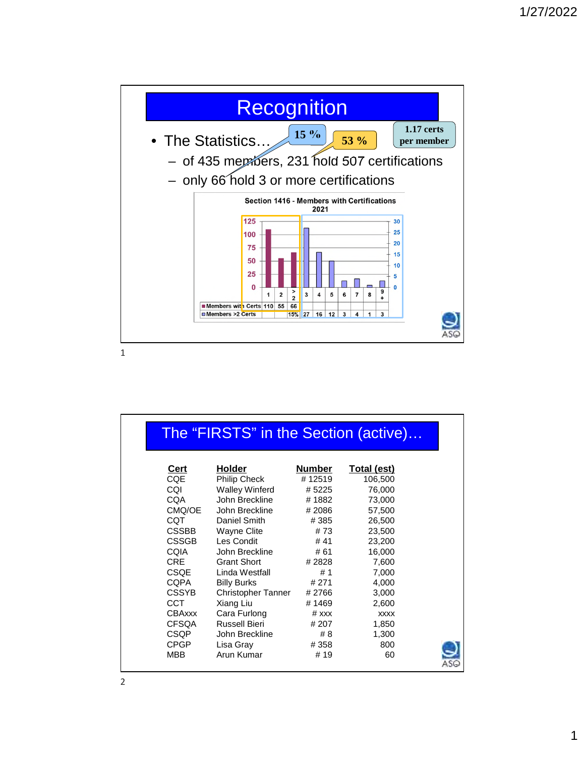

| The "FIRSTS" in the Section (active) |                           |         |             |  |
|--------------------------------------|---------------------------|---------|-------------|--|
| Cert                                 | <b>Holder</b>             | Number  | Total (est) |  |
| <b>CQE</b>                           | Philip Check              | #12519  | 106,500     |  |
| CQI                                  | <b>Walley Winferd</b>     | #5225   | 76,000      |  |
| <b>CQA</b>                           | John Breckline            | #1882   | 73,000      |  |
| CMQ/OE                               | John Breckline            | #2086   | 57,500      |  |
| <b>CQT</b>                           | Daniel Smith              | #385    | 26,500      |  |
| <b>CSSBB</b>                         | <b>Wayne Clite</b>        | #73     | 23,500      |  |
| <b>CSSGB</b>                         | Les Condit                | #41     | 23,200      |  |
| COIA                                 | John Breckline            | # 61    | 16,000      |  |
| <b>CRE</b>                           | <b>Grant Short</b>        | # 2828  | 7,600       |  |
| <b>CSQE</b>                          | Linda Westfall            | #1      | 7,000       |  |
| <b>CQPA</b>                          | <b>Billy Burks</b>        | # 271   | 4,000       |  |
| <b>CSSYB</b>                         | <b>Christopher Tanner</b> | #2766   | 3,000       |  |
| CCT.                                 | Xiang Liu                 | #1469   | 2,600       |  |
| <b>CBAxxx</b>                        | Cara Furlong              | $#$ xxx | <b>XXXX</b> |  |
| <b>CFSQA</b>                         | <b>Russell Bieri</b>      | # 207   | 1,850       |  |
| CSQP                                 | John Breckline            | # 8     | 1,300       |  |
| <b>CPGP</b>                          | Lisa Gray                 | #358    | 800         |  |
| MBB.                                 | Arun Kumar                | # 19    | 60          |  |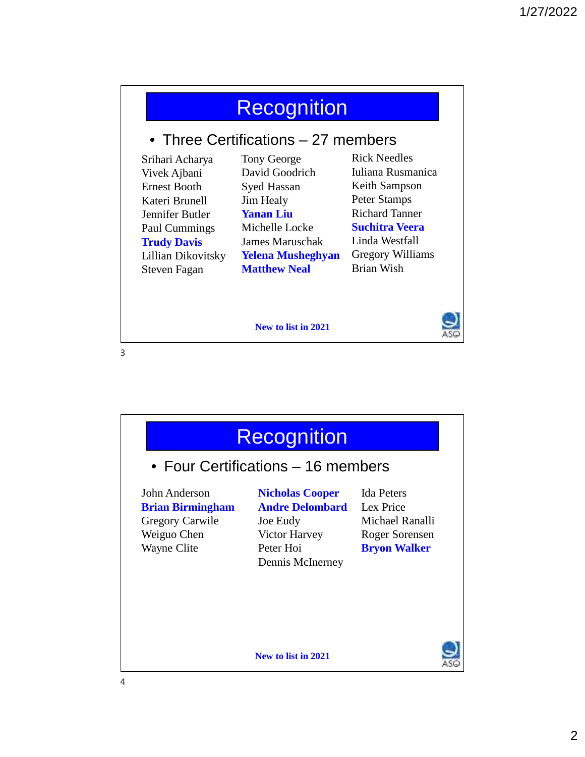|                                     | <b>Recognition</b>       |                         |  |  |
|-------------------------------------|--------------------------|-------------------------|--|--|
| • Three Certifications – 27 members |                          |                         |  |  |
| Srihari Acharya                     | Tony George              | Rick Needles            |  |  |
| Vivek Ajbani                        | David Goodrich           | Juliana Rusmanica       |  |  |
| Ernest Booth                        | <b>Syed Hassan</b>       | Keith Sampson           |  |  |
| Kateri Brunell                      | Jim Healy                | Peter Stamps            |  |  |
| Jennifer Butler                     | <b>Yanan Liu</b>         | <b>Richard Tanner</b>   |  |  |
| Paul Cummings                       | Michelle Locke           | <b>Suchitra Veera</b>   |  |  |
| <b>Trudy Davis</b>                  | James Maruschak          | Linda Westfall          |  |  |
| Lillian Dikovitsky                  | <b>Yelena Musheghyan</b> | <b>Gregory Williams</b> |  |  |
| Steven Fagan                        | <b>Matthew Neal</b>      | Brian Wish              |  |  |

**New to list in 2021**



3